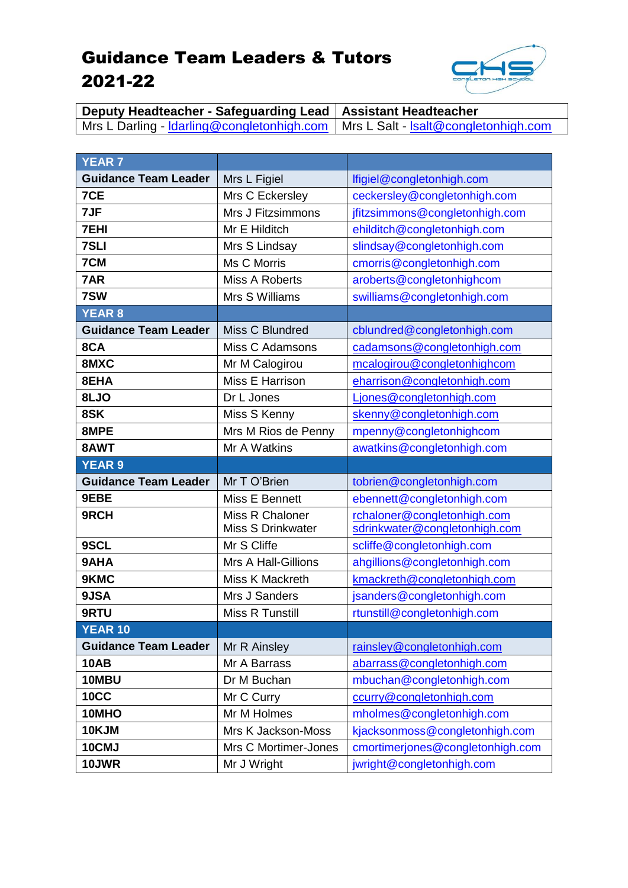## Guidance Team Leaders & Tutors 2021-22



**Deputy Headteacher - Safeguarding Lead Assistant Headteacher** Mrs L Darling - <u>Idarling@congletonhigh.com</u> | Mrs L Salt - <u>Isalt@congletonhigh.com</u>

| <b>YEAR 7</b>               |                                     |                                                               |
|-----------------------------|-------------------------------------|---------------------------------------------------------------|
| <b>Guidance Team Leader</b> | Mrs L Figiel                        | lfigiel@congletonhigh.com                                     |
| 7CE                         | Mrs C Eckersley                     | ceckersley@congletonhigh.com                                  |
| 7JF                         | Mrs J Fitzsimmons                   | jfitzsimmons@congletonhigh.com                                |
| <b>7EHI</b>                 | Mr E Hilditch                       | ehilditch@congletonhigh.com                                   |
| <b>7SLI</b>                 | Mrs S Lindsay                       | slindsay@congletonhigh.com                                    |
| 7CM                         | Ms C Morris                         | cmorris@congletonhigh.com                                     |
| 7AR                         | <b>Miss A Roberts</b>               | aroberts@congletonhighcom                                     |
| 7SW                         | Mrs S Williams                      | swilliams@congletonhigh.com                                   |
| <b>YEAR 8</b>               |                                     |                                                               |
| <b>Guidance Team Leader</b> | Miss C Blundred                     | cblundred@congletonhigh.com                                   |
| 8CA                         | <b>Miss C Adamsons</b>              | cadamsons@congletonhigh.com                                   |
| 8MXC                        | Mr M Calogirou                      | mcalogirou@congletonhighcom                                   |
| 8EHA                        | Miss E Harrison                     | eharrison@congletonhigh.com                                   |
| 8LJO                        | Dr L Jones                          | Ljones@congletonhigh.com                                      |
| 8SK                         | Miss S Kenny                        | skenny@congletonhigh.com                                      |
| 8MPE                        | Mrs M Rios de Penny                 | mpenny@congletonhighcom                                       |
| 8AWT                        | Mr A Watkins                        | awatkins@congletonhigh.com                                    |
| <b>YEAR 9</b>               |                                     |                                                               |
|                             |                                     |                                                               |
| <b>Guidance Team Leader</b> | Mr T O'Brien                        | tobrien@congletonhigh.com                                     |
| 9EBE                        | Miss E Bennett                      | ebennett@congletonhigh.com                                    |
| 9RCH                        | Miss R Chaloner                     | rchaloner@congletonhigh.com                                   |
|                             | Miss S Drinkwater                   | sdrinkwater@congletonhigh.com                                 |
| 9SCL                        | Mr S Cliffe                         | scliffe@congletonhigh.com                                     |
| 9AHA                        | Mrs A Hall-Gillions                 | ahgillions@congletonhigh.com                                  |
| 9KMC                        | Miss K Mackreth                     | kmackreth@congletonhigh.com                                   |
| 9JSA                        | Mrs J Sanders                       | jsanders@congletonhigh.com                                    |
| 9RTU                        | Miss R Tunstill                     | rtunstill@congletonhigh.com                                   |
| <b>YEAR 10</b>              |                                     |                                                               |
| <b>Guidance Team Leader</b> | Mr R Ainsley                        | rainsley@congletonhigh.com                                    |
| <b>10AB</b>                 | Mr A Barrass                        | abarrass@congletonhigh.com                                    |
| 10MBU                       | Dr M Buchan                         | mbuchan@congletonhigh.com                                     |
| <b>10CC</b>                 | Mr C Curry                          | ccurry@congletonhigh.com                                      |
| 10MHO                       | Mr M Holmes                         | mholmes@congletonhigh.com                                     |
| 10KJM                       | Mrs K Jackson-Moss                  | kjacksonmoss@congletonhigh.com                                |
| 10CMJ<br>10JWR              | Mrs C Mortimer-Jones<br>Mr J Wright | cmortimerjones@congletonhigh.com<br>jwright@congletonhigh.com |